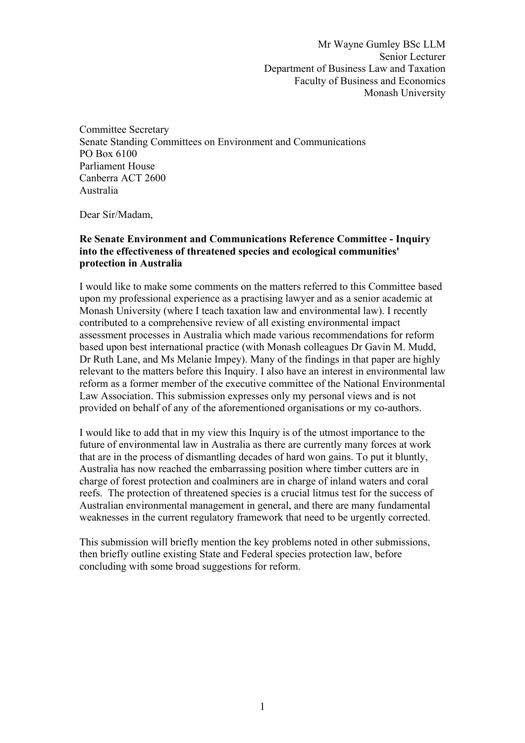Mr Wayne Gumley BSc LLM Senior Lecturer Department of Business Law and Taxation Faculty of Business and Economics Monash University

Committee Secretary Senate Standing Committees on Environment and Communications PO Box 6100 Parliament House Canberra ACT 2600 Australia

Dear Sir/Madam,

#### **Re Senate Environment and Communications Reference Committee - Inquiry into the effectiveness of threatened species and ecological communities' protection in Australia**

I would like to make some comments on the matters referred to this Committee based upon my professional experience as a practising lawyer and as a senior academic at Monash University (where I teach taxation law and environmental law). I recently contributed to a comprehensive review of all existing environmental impact assessment processes in Australia which made various recommendations for reform based upon best international practice (with Monash colleagues Dr Gavin M. Mudd, Dr Ruth Lane, and Ms Melanie Impey). Many of the findings in that paper are highly relevant to the matters before this Inquiry. I also have an interest in environmental law reform as a former member of the executive committee of the National Environmental Law Association. This submission expresses only my personal views and is not provided on behalf of any of the aforementioned organisations or my co-authors.

I would like to add that in my view this Inquiry is of the utmost importance to the future of environmental law in Australia as there are currently many forces at work that are in the process of dismantling decades of hard won gains. To put it bluntly, Australia has now reached the embarrassing position where timber cutters are in charge of forest protection and coalminers are in charge of inland waters and coral reefs. The protection of threatened species is a crucial litmus test for the success of Australian environmental management in general, and there are many fundamental weaknesses in the current regulatory framework that need to be urgently corrected.

This submission will briefly mention the key problems noted in other submissions, then briefly outline existing State and Federal species protection law, before concluding with some broad suggestions for reform.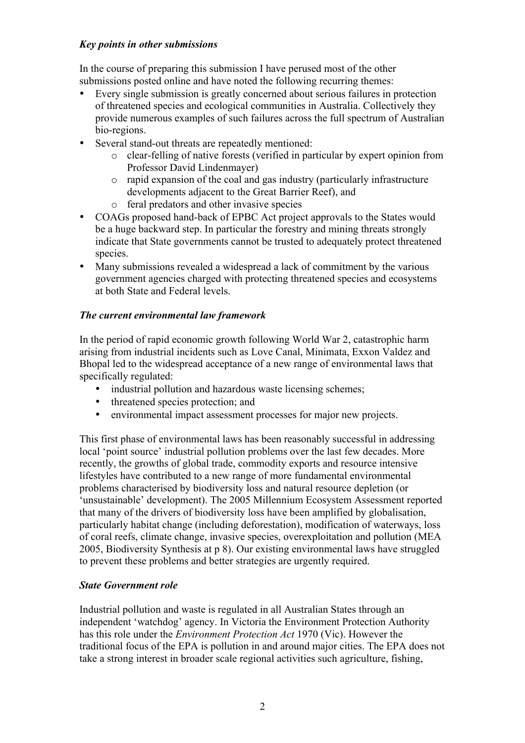#### *Key points in other submissions*

In the course of preparing this submission I have perused most of the other submissions posted online and have noted the following recurring themes:

- Every single submission is greatly concerned about serious failures in protection of threatened species and ecological communities in Australia. Collectively they provide numerous examples of such failures across the full spectrum of Australian bio-regions.
- Several stand-out threats are repeatedly mentioned:
	- o clear-felling of native forests (verified in particular by expert opinion from Professor David Lindenmayer)
	- o rapid expansion of the coal and gas industry (particularly infrastructure developments adjacent to the Great Barrier Reef), and
	- o feral predators and other invasive species
- COAGs proposed hand-back of EPBC Act project approvals to the States would be a huge backward step. In particular the forestry and mining threats strongly indicate that State governments cannot be trusted to adequately protect threatened species.
- Many submissions revealed a widespread a lack of commitment by the various government agencies charged with protecting threatened species and ecosystems at both State and Federal levels.

# *The current environmental law framework*

In the period of rapid economic growth following World War 2, catastrophic harm arising from industrial incidents such as Love Canal, Minimata, Exxon Valdez and Bhopal led to the widespread acceptance of a new range of environmental laws that specifically regulated:

- industrial pollution and hazardous waste licensing schemes;
- threatened species protection; and
- environmental impact assessment processes for major new projects.

This first phase of environmental laws has been reasonably successful in addressing local 'point source' industrial pollution problems over the last few decades. More recently, the growths of global trade, commodity exports and resource intensive lifestyles have contributed to a new range of more fundamental environmental problems characterised by biodiversity loss and natural resource depletion (or 'unsustainable' development). The 2005 Millennium Ecosystem Assessment reported that many of the drivers of biodiversity loss have been amplified by globalisation, particularly habitat change (including deforestation), modification of waterways, loss of coral reefs, climate change, invasive species, overexploitation and pollution (MEA 2005, Biodiversity Synthesis at p 8). Our existing environmental laws have struggled to prevent these problems and better strategies are urgently required.

# *State Government role*

Industrial pollution and waste is regulated in all Australian States through an independent 'watchdog' agency. In Victoria the Environment Protection Authority has this role under the *Environment Protection Act* 1970 (Vic). However the traditional focus of the EPA is pollution in and around major cities. The EPA does not take a strong interest in broader scale regional activities such agriculture, fishing,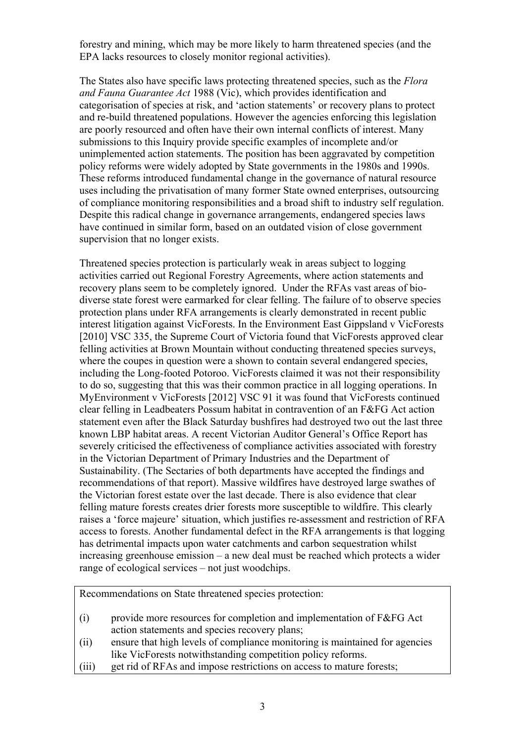forestry and mining, which may be more likely to harm threatened species (and the EPA lacks resources to closely monitor regional activities).

The States also have specific laws protecting threatened species, such as the *Flora and Fauna Guarantee Act* 1988 (Vic), which provides identification and categorisation of species at risk, and 'action statements' or recovery plans to protect and re-build threatened populations. However the agencies enforcing this legislation are poorly resourced and often have their own internal conflicts of interest. Many submissions to this Inquiry provide specific examples of incomplete and/or unimplemented action statements. The position has been aggravated by competition policy reforms were widely adopted by State governments in the 1980s and 1990s. These reforms introduced fundamental change in the governance of natural resource uses including the privatisation of many former State owned enterprises, outsourcing of compliance monitoring responsibilities and a broad shift to industry self regulation. Despite this radical change in governance arrangements, endangered species laws have continued in similar form, based on an outdated vision of close government supervision that no longer exists.

Threatened species protection is particularly weak in areas subject to logging activities carried out Regional Forestry Agreements, where action statements and recovery plans seem to be completely ignored. Under the RFAs vast areas of biodiverse state forest were earmarked for clear felling. The failure of to observe species protection plans under RFA arrangements is clearly demonstrated in recent public interest litigation against VicForests. In the Environment East Gippsland v VicForests [2010] VSC 335, the Supreme Court of Victoria found that VicForests approved clear felling activities at Brown Mountain without conducting threatened species surveys, where the coupes in question were a shown to contain several endangered species, including the Long-footed Potoroo. VicForests claimed it was not their responsibility to do so, suggesting that this was their common practice in all logging operations. In MyEnvironment v VicForests [2012] VSC 91 it was found that VicForests continued clear felling in Leadbeaters Possum habitat in contravention of an F&FG Act action statement even after the Black Saturday bushfires had destroyed two out the last three known LBP habitat areas. A recent Victorian Auditor General's Office Report has severely criticised the effectiveness of compliance activities associated with forestry in the Victorian Department of Primary Industries and the Department of Sustainability. (The Sectaries of both departments have accepted the findings and recommendations of that report). Massive wildfires have destroyed large swathes of the Victorian forest estate over the last decade. There is also evidence that clear felling mature forests creates drier forests more susceptible to wildfire. This clearly raises a 'force majeure' situation, which justifies re-assessment and restriction of RFA access to forests. Another fundamental defect in the RFA arrangements is that logging has detrimental impacts upon water catchments and carbon sequestration whilst increasing greenhouse emission – a new deal must be reached which protects a wider range of ecological services – not just woodchips.

Recommendations on State threatened species protection:

- (i) provide more resources for completion and implementation of F&FG Act action statements and species recovery plans;
- (ii) ensure that high levels of compliance monitoring is maintained for agencies like VicForests notwithstanding competition policy reforms.
- (iii) get rid of RFAs and impose restrictions on access to mature forests;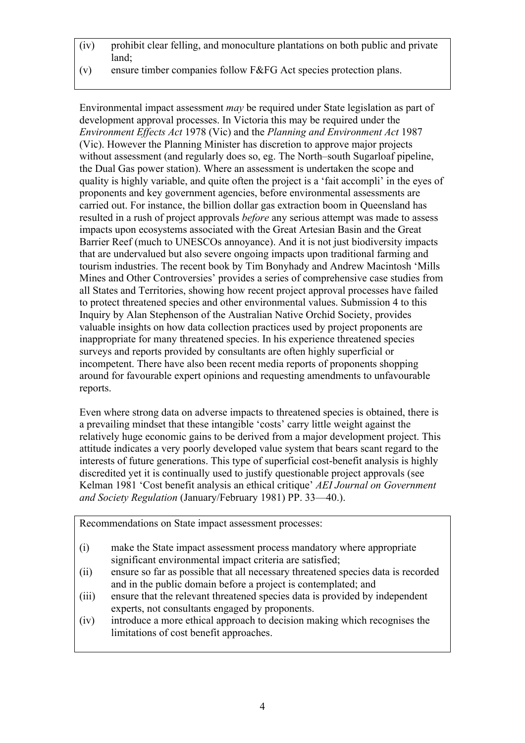- (iv) prohibit clear felling, and monoculture plantations on both public and private land;
- (v) ensure timber companies follow F&FG Act species protection plans.

Environmental impact assessment *may* be required under State legislation as part of development approval processes. In Victoria this may be required under the *Environment Effects Act* 1978 (Vic) and the *Planning and Environment Act* 1987 (Vic). However the Planning Minister has discretion to approve major projects without assessment (and regularly does so, eg. The North–south Sugarloaf pipeline, the Dual Gas power station). Where an assessment is undertaken the scope and quality is highly variable, and quite often the project is a 'fait accompli' in the eyes of proponents and key government agencies, before environmental assessments are carried out. For instance, the billion dollar gas extraction boom in Queensland has resulted in a rush of project approvals *before* any serious attempt was made to assess impacts upon ecosystems associated with the Great Artesian Basin and the Great Barrier Reef (much to UNESCOs annoyance). And it is not just biodiversity impacts that are undervalued but also severe ongoing impacts upon traditional farming and tourism industries. The recent book by Tim Bonyhady and Andrew Macintosh 'Mills Mines and Other Controversies' provides a series of comprehensive case studies from all States and Territories, showing how recent project approval processes have failed to protect threatened species and other environmental values. Submission 4 to this Inquiry by Alan Stephenson of the Australian Native Orchid Society, provides valuable insights on how data collection practices used by project proponents are inappropriate for many threatened species. In his experience threatened species surveys and reports provided by consultants are often highly superficial or incompetent. There have also been recent media reports of proponents shopping around for favourable expert opinions and requesting amendments to unfavourable reports.

Even where strong data on adverse impacts to threatened species is obtained, there is a prevailing mindset that these intangible 'costs' carry little weight against the relatively huge economic gains to be derived from a major development project. This attitude indicates a very poorly developed value system that bears scant regard to the interests of future generations. This type of superficial cost-benefit analysis is highly discredited yet it is continually used to justify questionable project approvals (see Kelman 1981 'Cost benefit analysis an ethical critique' *AEI Journal on Government and Society Regulation* (January/February 1981) PP. 33—40.).

Recommendations on State impact assessment processes:

- (i) make the State impact assessment process mandatory where appropriate significant environmental impact criteria are satisfied;
- (ii) ensure so far as possible that all necessary threatened species data is recorded and in the public domain before a project is contemplated; and
- (iii) ensure that the relevant threatened species data is provided by independent experts, not consultants engaged by proponents.
- (iv) introduce a more ethical approach to decision making which recognises the limitations of cost benefit approaches.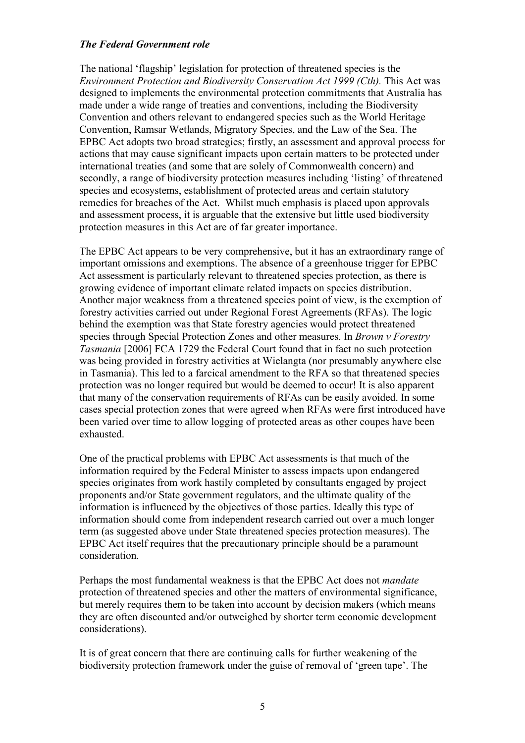#### *The Federal Government role*

The national 'flagship' legislation for protection of threatened species is the *Environment Protection and Biodiversity Conservation Act 1999 (Cth).* This Act was designed to implements the environmental protection commitments that Australia has made under a wide range of treaties and conventions, including the Biodiversity Convention and others relevant to endangered species such as the World Heritage Convention, Ramsar Wetlands, Migratory Species, and the Law of the Sea. The EPBC Act adopts two broad strategies; firstly, an assessment and approval process for actions that may cause significant impacts upon certain matters to be protected under international treaties (and some that are solely of Commonwealth concern) and secondly, a range of biodiversity protection measures including 'listing' of threatened species and ecosystems, establishment of protected areas and certain statutory remedies for breaches of the Act. Whilst much emphasis is placed upon approvals and assessment process, it is arguable that the extensive but little used biodiversity protection measures in this Act are of far greater importance.

The EPBC Act appears to be very comprehensive, but it has an extraordinary range of important omissions and exemptions. The absence of a greenhouse trigger for EPBC Act assessment is particularly relevant to threatened species protection, as there is growing evidence of important climate related impacts on species distribution. Another major weakness from a threatened species point of view, is the exemption of forestry activities carried out under Regional Forest Agreements (RFAs). The logic behind the exemption was that State forestry agencies would protect threatened species through Special Protection Zones and other measures. In *Brown v Forestry Tasmania* [2006] FCA 1729 the Federal Court found that in fact no such protection was being provided in forestry activities at Wielangta (nor presumably anywhere else in Tasmania). This led to a farcical amendment to the RFA so that threatened species protection was no longer required but would be deemed to occur! It is also apparent that many of the conservation requirements of RFAs can be easily avoided. In some cases special protection zones that were agreed when RFAs were first introduced have been varied over time to allow logging of protected areas as other coupes have been exhausted.

One of the practical problems with EPBC Act assessments is that much of the information required by the Federal Minister to assess impacts upon endangered species originates from work hastily completed by consultants engaged by project proponents and/or State government regulators, and the ultimate quality of the information is influenced by the objectives of those parties. Ideally this type of information should come from independent research carried out over a much longer term (as suggested above under State threatened species protection measures). The EPBC Act itself requires that the precautionary principle should be a paramount consideration.

Perhaps the most fundamental weakness is that the EPBC Act does not *mandate* protection of threatened species and other the matters of environmental significance, but merely requires them to be taken into account by decision makers (which means they are often discounted and/or outweighed by shorter term economic development considerations).

It is of great concern that there are continuing calls for further weakening of the biodiversity protection framework under the guise of removal of 'green tape'. The